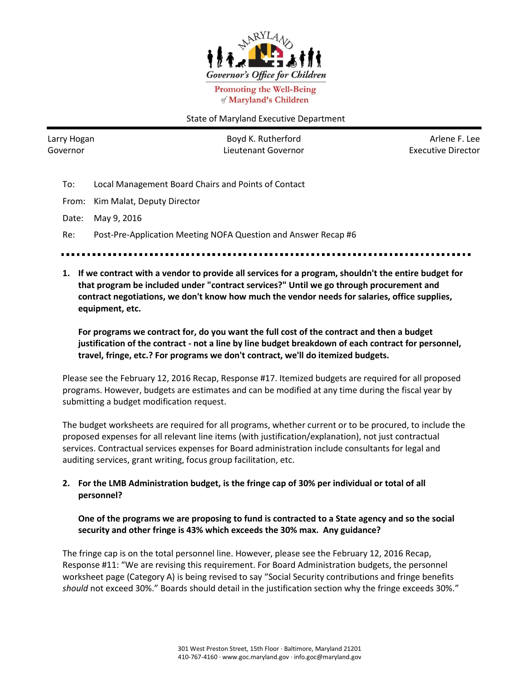

**Promoting the Well-Being** of Maryland's Children

## State of Maryland Executive Department

Larry Hogan Governor

Boyd K. Rutherford Lieutenant Governor

Arlene F. Lee Executive Director

- To: Local Management Board Chairs and Points of Contact
- From: Kim Malat, Deputy Director
- Date: May 9, 2016

Re: Post-Pre-Application Meeting NOFA Question and Answer Recap #6

- 
- **1. If we contract with a vendor to provide all services for a program, shouldn't the entire budget for that program be included under "contract services?" Until we go through procurement and contract negotiations, we don't know how much the vendor needs for salaries, office supplies, equipment, etc.**

**For programs we contract for, do you want the full cost of the contract and then a budget justification of the contract - not a line by line budget breakdown of each contract for personnel, travel, fringe, etc.? For programs we don't contract, we'll do itemized budgets.**

Please see the February 12, 2016 Recap, Response #17. Itemized budgets are required for all proposed programs. However, budgets are estimates and can be modified at any time during the fiscal year by submitting a budget modification request.

The budget worksheets are required for all programs, whether current or to be procured, to include the proposed expenses for all relevant line items (with justification/explanation), not just contractual services. Contractual services expenses for Board administration include consultants for legal and auditing services, grant writing, focus group facilitation, etc.

## **2. For the LMB Administration budget, is the fringe cap of 30% per individual or total of all personnel?**

## **One of the programs we are proposing to fund is contracted to a State agency and so the social security and other fringe is 43% which exceeds the 30% max. Any guidance?**

The fringe cap is on the total personnel line. However, please see the February 12, 2016 Recap, Response #11: "We are revising this requirement. For Board Administration budgets, the personnel worksheet page (Category A) is being revised to say "Social Security contributions and fringe benefits *should* not exceed 30%." Boards should detail in the justification section why the fringe exceeds 30%."